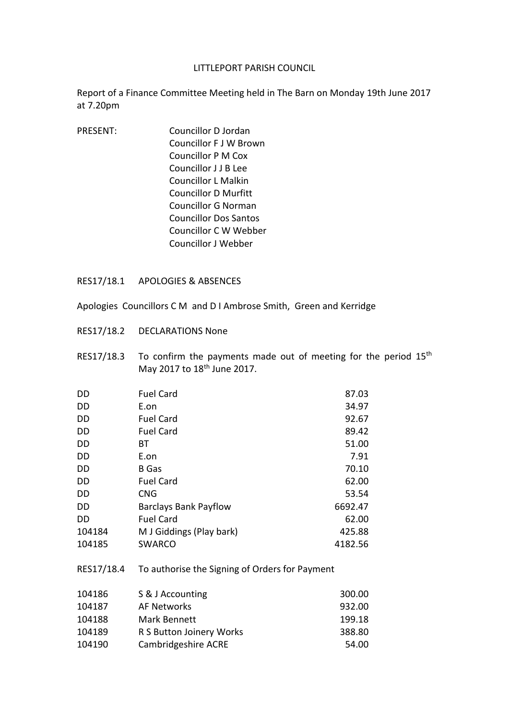## LITTLEPORT PARISH COUNCIL

Report of a Finance Committee Meeting held in The Barn on Monday 19th June 2017 at 7.20pm

PRESENT: Councillor D Jordan Councillor F J W Brown Councillor P M Cox Councillor J J B Lee Councillor L Malkin Councillor D Murfitt Councillor G Norman Councillor Dos Santos Councillor C W Webber Councillor J Webber

## RES17/18.1 APOLOGIES & ABSENCES

- Apologies Councillors C M and D I Ambrose Smith, Green and Kerridge
- RES17/18.2 DECLARATIONS None
- RES17/18.3 To confirm the payments made out of meeting for the period  $15<sup>th</sup>$ May 2017 to 18th June 2017.

| <b>DD</b> | <b>Fuel Card</b>             | 87.03   |
|-----------|------------------------------|---------|
| DD        | E.on                         | 34.97   |
| DD        | <b>Fuel Card</b>             | 92.67   |
| DD        | <b>Fuel Card</b>             | 89.42   |
| DD        | ВT                           | 51.00   |
| DD        | E.on                         | 7.91    |
| DD        | <b>B</b> Gas                 | 70.10   |
| DD        | <b>Fuel Card</b>             | 62.00   |
| DD        | <b>CNG</b>                   | 53.54   |
| DD        | <b>Barclays Bank Payflow</b> | 6692.47 |
| <b>DD</b> | <b>Fuel Card</b>             | 62.00   |
| 104184    | M J Giddings (Play bark)     | 425.88  |
| 104185    | <b>SWARCO</b>                | 4182.56 |
|           |                              |         |

RES17/18.4 To authorise the Signing of Orders for Payment

| 104186 | S & J Accounting         | 300.00 |
|--------|--------------------------|--------|
| 104187 | AF Networks              | 932.00 |
| 104188 | Mark Bennett             | 199.18 |
| 104189 | R S Button Joinery Works | 388.80 |
| 104190 | Cambridgeshire ACRE      | 54.00  |